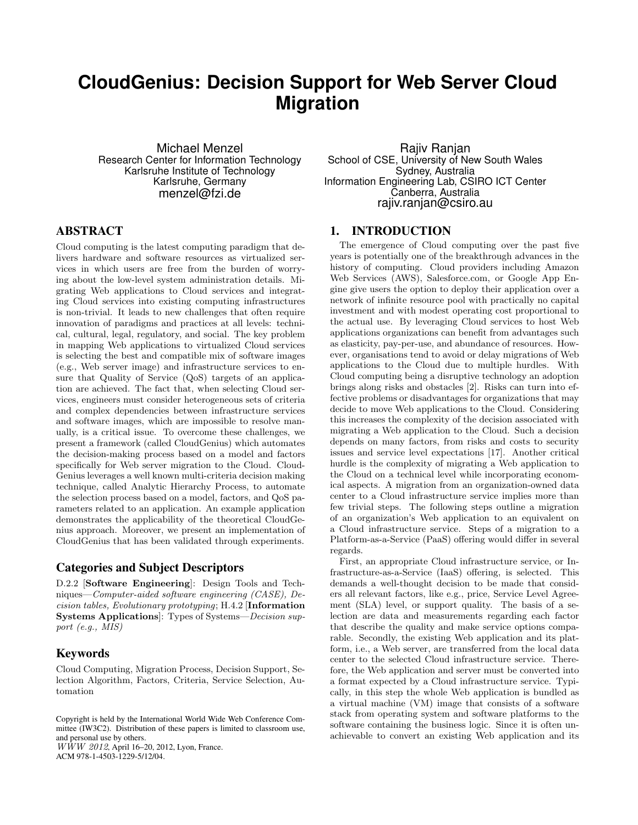# **CloudGenius: Decision Support for Web Server Cloud Migration**

Michael Menzel Research Center for Information Technology Karlsruhe Institute of Technology Karlsruhe, Germany menzel@fzi.de

## ABSTRACT

Cloud computing is the latest computing paradigm that delivers hardware and software resources as virtualized services in which users are free from the burden of worrying about the low-level system administration details. Migrating Web applications to Cloud services and integrating Cloud services into existing computing infrastructures is non-trivial. It leads to new challenges that often require innovation of paradigms and practices at all levels: technical, cultural, legal, regulatory, and social. The key problem in mapping Web applications to virtualized Cloud services is selecting the best and compatible mix of software images (e.g., Web server image) and infrastructure services to ensure that Quality of Service (QoS) targets of an application are achieved. The fact that, when selecting Cloud services, engineers must consider heterogeneous sets of criteria and complex dependencies between infrastructure services and software images, which are impossible to resolve manually, is a critical issue. To overcome these challenges, we present a framework (called CloudGenius) which automates the decision-making process based on a model and factors specifically for Web server migration to the Cloud. Cloud-Genius leverages a well known multi-criteria decision making technique, called Analytic Hierarchy Process, to automate the selection process based on a model, factors, and QoS parameters related to an application. An example application demonstrates the applicability of the theoretical CloudGenius approach. Moreover, we present an implementation of CloudGenius that has been validated through experiments.

#### Categories and Subject Descriptors

D.2.2 [Software Engineering]: Design Tools and Techniques—Computer-aided software engineering (CASE), Decision tables, Evolutionary prototyping; H.4.2 [Information Systems Applications]: Types of Systems—Decision support (e.g., MIS)

## Keywords

Cloud Computing, Migration Process, Decision Support, Selection Algorithm, Factors, Criteria, Service Selection, Automation

ACM 978-1-4503-1229-5/12/04.

Rajiv Ranjan School of CSE, University of New South Wales Sydney, Australia Information Engineering Lab, CSIRO ICT Center Canberra, Australia rajiv.ranjan@csiro.au

## 1. INTRODUCTION

The emergence of Cloud computing over the past five years is potentially one of the breakthrough advances in the history of computing. Cloud providers including Amazon Web Services (AWS), Salesforce.com, or Google App Engine give users the option to deploy their application over a network of infinite resource pool with practically no capital investment and with modest operating cost proportional to the actual use. By leveraging Cloud services to host Web applications organizations can benefit from advantages such as elasticity, pay-per-use, and abundance of resources. However, organisations tend to avoid or delay migrations of Web applications to the Cloud due to multiple hurdles. With Cloud computing being a disruptive technology an adoption brings along risks and obstacles [2]. Risks can turn into effective problems or disadvantages for organizations that may decide to move Web applications to the Cloud. Considering this increases the complexity of the decision associated with migrating a Web application to the Cloud. Such a decision depends on many factors, from risks and costs to security issues and service level expectations [17]. Another critical hurdle is the complexity of migrating a Web application to the Cloud on a technical level while incorporating economical aspects. A migration from an organization-owned data center to a Cloud infrastructure service implies more than few trivial steps. The following steps outline a migration of an organization's Web application to an equivalent on a Cloud infrastructure service. Steps of a migration to a Platform-as-a-Service (PaaS) offering would differ in several regards.

First, an appropriate Cloud infrastructure service, or Infrastructure-as-a-Service (IaaS) offering, is selected. This demands a well-thought decision to be made that considers all relevant factors, like e.g., price, Service Level Agreement (SLA) level, or support quality. The basis of a selection are data and measurements regarding each factor that describe the quality and make service options comparable. Secondly, the existing Web application and its platform, i.e., a Web server, are transferred from the local data center to the selected Cloud infrastructure service. Therefore, the Web application and server must be converted into a format expected by a Cloud infrastructure service. Typically, in this step the whole Web application is bundled as a virtual machine (VM) image that consists of a software stack from operating system and software platforms to the software containing the business logic. Since it is often unachievable to convert an existing Web application and its

Copyright is held by the International World Wide Web Conference Committee (IW3C2). Distribution of these papers is limited to classroom use, and personal use by others. WWW 2012, April 16–20, 2012, Lyon, France.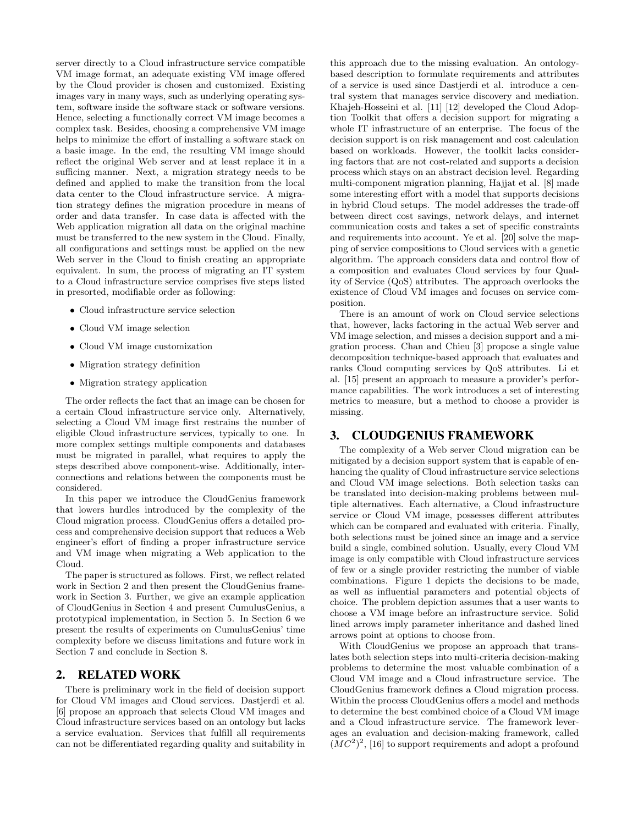server directly to a Cloud infrastructure service compatible VM image format, an adequate existing VM image offered by the Cloud provider is chosen and customized. Existing images vary in many ways, such as underlying operating system, software inside the software stack or software versions. Hence, selecting a functionally correct VM image becomes a complex task. Besides, choosing a comprehensive VM image helps to minimize the effort of installing a software stack on a basic image. In the end, the resulting VM image should reflect the original Web server and at least replace it in a sufficing manner. Next, a migration strategy needs to be defined and applied to make the transition from the local data center to the Cloud infrastructure service. A migration strategy defines the migration procedure in means of order and data transfer. In case data is affected with the Web application migration all data on the original machine must be transferred to the new system in the Cloud. Finally, all configurations and settings must be applied on the new Web server in the Cloud to finish creating an appropriate equivalent. In sum, the process of migrating an IT system to a Cloud infrastructure service comprises five steps listed in presorted, modifiable order as following:

- Cloud infrastructure service selection
- Cloud VM image selection
- Cloud VM image customization
- Migration strategy definition
- Migration strategy application

The order reflects the fact that an image can be chosen for a certain Cloud infrastructure service only. Alternatively, selecting a Cloud VM image first restrains the number of eligible Cloud infrastructure services, typically to one. In more complex settings multiple components and databases must be migrated in parallel, what requires to apply the steps described above component-wise. Additionally, interconnections and relations between the components must be considered.

In this paper we introduce the CloudGenius framework that lowers hurdles introduced by the complexity of the Cloud migration process. CloudGenius offers a detailed process and comprehensive decision support that reduces a Web engineer's effort of finding a proper infrastructure service and VM image when migrating a Web application to the Cloud.

The paper is structured as follows. First, we reflect related work in Section 2 and then present the CloudGenius framework in Section 3. Further, we give an example application of CloudGenius in Section 4 and present CumulusGenius, a prototypical implementation, in Section 5. In Section 6 we present the results of experiments on CumulusGenius' time complexity before we discuss limitations and future work in Section 7 and conclude in Section 8.

#### 2. RELATED WORK

There is preliminary work in the field of decision support for Cloud VM images and Cloud services. Dastjerdi et al. [6] propose an approach that selects Cloud VM images and Cloud infrastructure services based on an ontology but lacks a service evaluation. Services that fulfill all requirements can not be differentiated regarding quality and suitability in this approach due to the missing evaluation. An ontologybased description to formulate requirements and attributes of a service is used since Dastjerdi et al. introduce a central system that manages service discovery and mediation. Khajeh-Hosseini et al. [11] [12] developed the Cloud Adoption Toolkit that offers a decision support for migrating a whole IT infrastructure of an enterprise. The focus of the decision support is on risk management and cost calculation based on workloads. However, the toolkit lacks considering factors that are not cost-related and supports a decision process which stays on an abstract decision level. Regarding multi-component migration planning, Hajjat et al. [8] made some interesting effort with a model that supports decisions in hybrid Cloud setups. The model addresses the trade-off between direct cost savings, network delays, and internet communication costs and takes a set of specific constraints and requirements into account. Ye et al. [20] solve the mapping of service compositions to Cloud services with a genetic algorithm. The approach considers data and control flow of a composition and evaluates Cloud services by four Quality of Service (QoS) attributes. The approach overlooks the existence of Cloud VM images and focuses on service composition.

There is an amount of work on Cloud service selections that, however, lacks factoring in the actual Web server and VM image selection, and misses a decision support and a migration process. Chan and Chieu [3] propose a single value decomposition technique-based approach that evaluates and ranks Cloud computing services by QoS attributes. Li et al. [15] present an approach to measure a provider's performance capabilities. The work introduces a set of interesting metrics to measure, but a method to choose a provider is missing.

## 3. CLOUDGENIUS FRAMEWORK

The complexity of a Web server Cloud migration can be mitigated by a decision support system that is capable of enhancing the quality of Cloud infrastructure service selections and Cloud VM image selections. Both selection tasks can be translated into decision-making problems between multiple alternatives. Each alternative, a Cloud infrastructure service or Cloud VM image, possesses different attributes which can be compared and evaluated with criteria. Finally, both selections must be joined since an image and a service build a single, combined solution. Usually, every Cloud VM image is only compatible with Cloud infrastructure services of few or a single provider restricting the number of viable combinations. Figure 1 depicts the decisions to be made, as well as influential parameters and potential objects of choice. The problem depiction assumes that a user wants to choose a VM image before an infrastructure service. Solid lined arrows imply parameter inheritance and dashed lined arrows point at options to choose from.

With CloudGenius we propose an approach that translates both selection steps into multi-criteria decision-making problems to determine the most valuable combination of a Cloud VM image and a Cloud infrastructure service. The CloudGenius framework defines a Cloud migration process. Within the process CloudGenius offers a model and methods to determine the best combined choice of a Cloud VM image and a Cloud infrastructure service. The framework leverages an evaluation and decision-making framework, called  $(MC<sup>2</sup>)<sup>2</sup>$ , [16] to support requirements and adopt a profound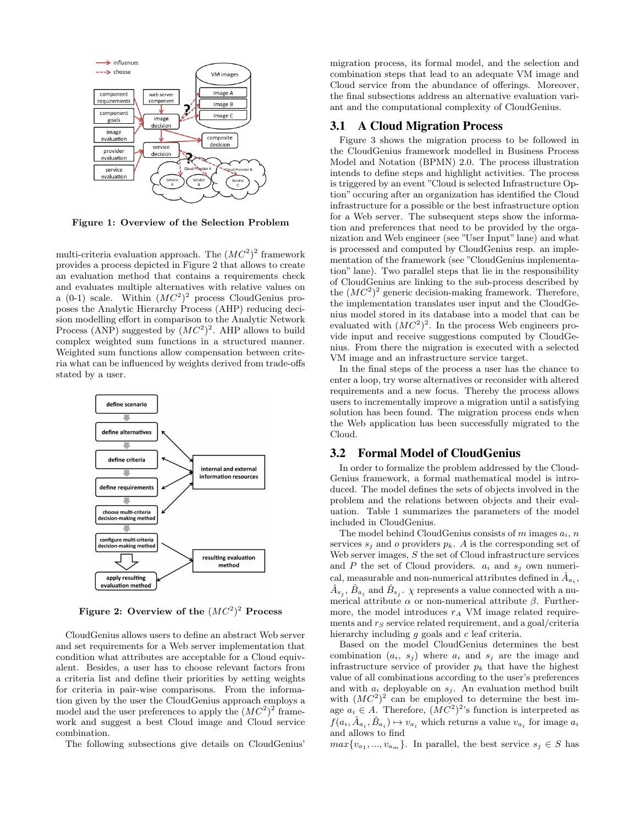

Figure 1: Overview of the Selection Problem

multi-criteria evaluation approach. The  $(MC^2)^2$  framework provides a process depicted in Figure 2 that allows to create an evaluation method that contains a requirements check and evaluates multiple alternatives with relative values on a (0-1) scale. Within  $(MC^2)^2$  process CloudGenius proposes the Analytic Hierarchy Process (AHP) reducing decision modelling effort in comparison to the Analytic Network Process (ANP) suggested by  $(MC^2)^2$ . AHP allows to build complex weighted sum functions in a structured manner. Weighted sum functions allow compensation between criteria what can be influenced by weights derived from trade-offs stated by a user.



Figure 2: Overview of the  $(MC^2)^2$  Process

CloudGenius allows users to define an abstract Web server and set requirements for a Web server implementation that condition what attributes are acceptable for a Cloud equivalent. Besides, a user has to choose relevant factors from a criteria list and define their priorities by setting weights for criteria in pair-wise comparisons. From the information given by the user the CloudGenius approach employs a model and the user preferences to apply the  $(MC^2)^2$  framework and suggest a best Cloud image and Cloud service combination.

The following subsections give details on CloudGenius'

migration process, its formal model, and the selection and combination steps that lead to an adequate VM image and Cloud service from the abundance of offerings. Moreover, the final subsections address an alternative evaluation variant and the computational complexity of CloudGenius.

## 3.1 A Cloud Migration Process

Figure 3 shows the migration process to be followed in the CloudGenius framework modelled in Business Process Model and Notation (BPMN) 2.0. The process illustration intends to define steps and highlight activities. The process is triggered by an event "Cloud is selected Infrastructure Option" occuring after an organization has identified the Cloud infrastructure for a possible or the best infrastructure option for a Web server. The subsequent steps show the information and preferences that need to be provided by the organization and Web engineer (see "User Input" lane) and what is processed and computed by CloudGenius resp. an implementation of the framework (see "CloudGenius implementation" lane). Two parallel steps that lie in the responsibility of CloudGenius are linking to the sub-process described by the  $(MC^2)^2$  generic decision-making framework. Therefore, the implementation translates user input and the CloudGenius model stored in its database into a model that can be evaluated with  $(MC^2)^2$ . In the process Web engineers provide input and receive suggestions computed by CloudGenius. From there the migration is executed with a selected VM image and an infrastructure service target.

In the final steps of the process a user has the chance to enter a loop, try worse alternatives or reconsider with altered requirements and a new focus. Thereby the process allows users to incrementally improve a migration until a satisfying solution has been found. The migration process ends when the Web application has been successfully migrated to the Cloud.

#### 3.2 Formal Model of CloudGenius

In order to formalize the problem addressed by the Cloud-Genius framework, a formal mathematical model is introduced. The model defines the sets of objects involved in the problem and the relations between objects and their evaluation. Table 1 summarizes the parameters of the model included in CloudGenius.

The model behind CloudGenius consists of  $m$  images  $a_i$ ,  $n$ services  $s_i$  and o providers  $p_k$ . A is the corresponding set of Web server images,  $S$  the set of Cloud infrastructure services and  $P$  the set of Cloud providers.  $a_i$  and  $s_j$  own numerical, measurable and non-numerical attributes defined in  $\hat{A}_{a_i},$  $\hat{A}_{s_j}, \hat{B}_{a_i}$  and  $\hat{B}_{s_j}.$   $\chi$  represents a value connected with a numerical attribute  $\alpha$  or non-numerical attribute  $\beta$ . Furthermore, the model introduces  $r_A$  VM image related requirements and  $r<sub>S</sub>$  service related requirement, and a goal/criteria hierarchy including g goals and c leaf criteria.

Based on the model CloudGenius determines the best combination  $(a_i, s_j)$  where  $a_i$  and  $s_j$  are the image and infrastructure service of provider  $p_k$  that have the highest value of all combinations according to the user's preferences and with  $a_i$  deployable on  $s_j$ . An evaluation method built with  $(MC^2)^2$  can be employed to determine the best image  $a_i \in A$ . Therefore,  $(MC^2)^2$ 's function is interpreted as  $f(a_i, \hat{A}_{a_i}, \hat{B}_{a_i}) \mapsto v_{a_i}$  which returns a value  $v_{a_i}$  for image  $a_i$ and allows to find

 $max{v_{a_1},...,v_{a_m}}$ . In parallel, the best service  $s_j \in S$  has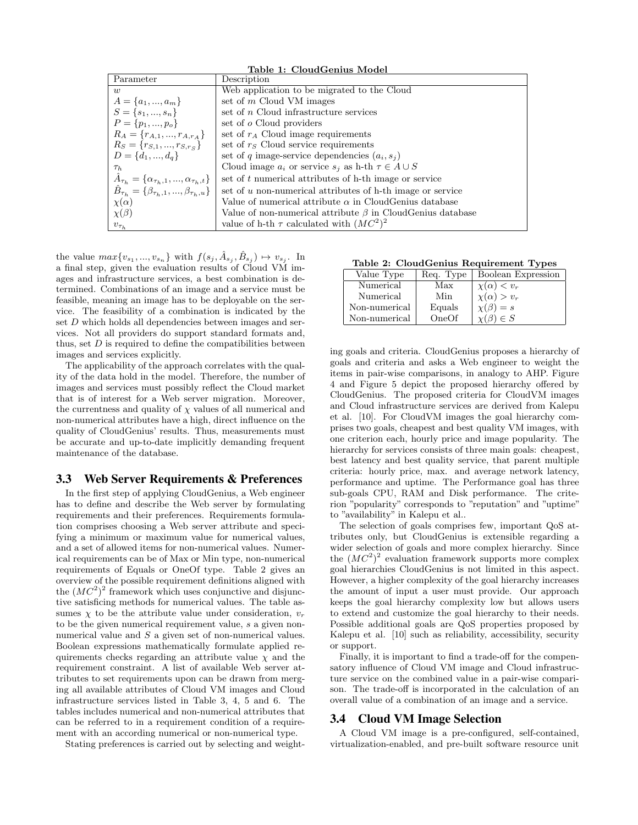| Table 1: CloudGenius Model                                                                                                   |                                                                  |  |
|------------------------------------------------------------------------------------------------------------------------------|------------------------------------------------------------------|--|
| Parameter                                                                                                                    | Description                                                      |  |
| $\overline{w}$                                                                                                               | Web application to be migrated to the Cloud                      |  |
| $A = \{a_1, , a_m\}$                                                                                                         | set of $m$ Cloud VM images                                       |  |
| $S = \{s_1, , s_n\}$                                                                                                         | set of $n$ Cloud infrastructure services                         |  |
| $P = \{p_1, , p_o\}$                                                                                                         | set of <i>o</i> Cloud providers                                  |  |
| $R_A = \{r_{A,1}, , r_{A,r_A}\}\$<br>set of $r_A$ Cloud image requirements                                                   |                                                                  |  |
| $R_S = \{r_{S,1}, , r_{S,r_S}\}\$                                                                                            | set of $rS$ Cloud service requirements                           |  |
| $D = \{d_1, , d_q\}$<br>set of q image-service dependencies $(a_i, s_i)$                                                     |                                                                  |  |
| Cloud image $a_i$ or service $s_i$ as h-th $\tau \in A \cup S$<br>$\tau_h$                                                   |                                                                  |  |
| $\tilde{A}_{\tau_h} = \{ \alpha_{\tau_h,1},,\alpha_{\tau_h,t} \}$<br>set of t numerical attributes of h-th image or service  |                                                                  |  |
| $\hat{B}_{\tau_h} = \{\beta_{\tau_h,1},,\beta_{\tau_h,u}\}\$<br>set of $u$ non-numerical attributes of h-th image or service |                                                                  |  |
| Value of numerical attribute $\alpha$ in CloudGenius database<br>$\chi(\alpha)$                                              |                                                                  |  |
| $\chi(\beta)$                                                                                                                | Value of non-numerical attribute $\beta$ in CloudGenius database |  |
| $v_{\tau_h}$                                                                                                                 | value of h-th $\tau$ calculated with $(MC^2)^2$                  |  |

the value  $max{v_{s_1},...,v_{s_n}}$  with  $f(s_j, \hat{A}_{s_j}, \hat{B}_{s_j}) \rightarrow v_{s_j}$ . In a final step, given the evaluation results of Cloud VM images and infrastructure services, a best combination is determined. Combinations of an image and a service must be feasible, meaning an image has to be deployable on the service. The feasibility of a combination is indicated by the set D which holds all dependencies between images and services. Not all providers do support standard formats and, thus, set  $D$  is required to define the compatibilities between images and services explicitly.

The applicability of the approach correlates with the quality of the data hold in the model. Therefore, the number of images and services must possibly reflect the Cloud market that is of interest for a Web server migration. Moreover, the currentness and quality of  $\chi$  values of all numerical and non-numerical attributes have a high, direct influence on the quality of CloudGenius' results. Thus, measurements must be accurate and up-to-date implicitly demanding frequent maintenance of the database.

#### 3.3 Web Server Requirements & Preferences

In the first step of applying CloudGenius, a Web engineer has to define and describe the Web server by formulating requirements and their preferences. Requirements formulation comprises choosing a Web server attribute and specifying a minimum or maximum value for numerical values, and a set of allowed items for non-numerical values. Numerical requirements can be of Max or Min type, non-numerical requirements of Equals or OneOf type. Table 2 gives an overview of the possible requirement definitions aligned with the  $(MC^2)^2$  framework which uses conjunctive and disjunctive satisficing methods for numerical values. The table assumes  $\chi$  to be the attribute value under consideration,  $v_r$ to be the given numerical requirement value, s a given nonnumerical value and S a given set of non-numerical values. Boolean expressions mathematically formulate applied requirements checks regarding an attribute value  $\chi$  and the requirement constraint. A list of available Web server attributes to set requirements upon can be drawn from merging all available attributes of Cloud VM images and Cloud infrastructure services listed in Table 3, 4, 5 and 6. The tables includes numerical and non-numerical attributes that can be referred to in a requirement condition of a requirement with an according numerical or non-numerical type.

Stating preferences is carried out by selecting and weight-

Table 2: CloudGenius Requirement Types

| Value Type    | Req. Type | Boolean Expression   |
|---------------|-----------|----------------------|
| Numerical     | Max       | $\chi(\alpha) < v_r$ |
| Numerical     | Min       | $\chi(\alpha) > v_r$ |
| Non-numerical | Equals    | $\chi(\beta) = s$    |
| Non-numerical | OneOf     | $i \in S$            |

ing goals and criteria. CloudGenius proposes a hierarchy of goals and criteria and asks a Web engineer to weight the items in pair-wise comparisons, in analogy to AHP. Figure 4 and Figure 5 depict the proposed hierarchy offered by CloudGenius. The proposed criteria for CloudVM images and Cloud infrastructure services are derived from Kalepu et al. [10]. For CloudVM images the goal hierarchy comprises two goals, cheapest and best quality VM images, with one criterion each, hourly price and image popularity. The hierarchy for services consists of three main goals: cheapest, best latency and best quality service, that parent multiple criteria: hourly price, max. and average network latency, performance and uptime. The Performance goal has three sub-goals CPU, RAM and Disk performance. The criterion "popularity" corresponds to "reputation" and "uptime" to "availability" in Kalepu et al..

The selection of goals comprises few, important QoS attributes only, but CloudGenius is extensible regarding a wider selection of goals and more complex hierarchy. Since the  $(MC^2)^2$  evaluation framework supports more complex goal hierarchies CloudGenius is not limited in this aspect. However, a higher complexity of the goal hierarchy increases the amount of input a user must provide. Our approach keeps the goal hierarchy complexity low but allows users to extend and customize the goal hierarchy to their needs. Possible additional goals are QoS properties proposed by Kalepu et al. [10] such as reliability, accessibility, security or support.

Finally, it is important to find a trade-off for the compensatory influence of Cloud VM image and Cloud infrastructure service on the combined value in a pair-wise comparison. The trade-off is incorporated in the calculation of an overall value of a combination of an image and a service.

#### 3.4 Cloud VM Image Selection

A Cloud VM image is a pre-configured, self-contained, virtualization-enabled, and pre-built software resource unit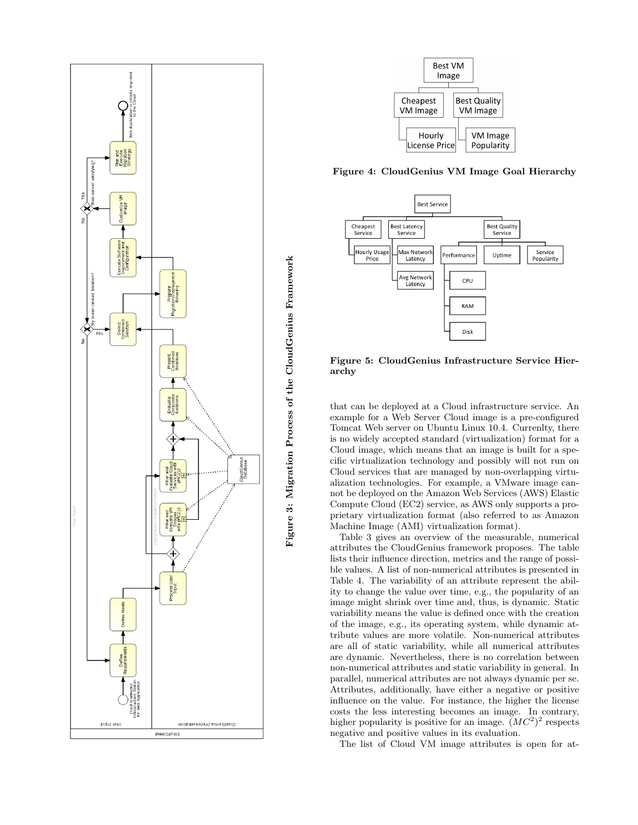



Figure 4: CloudGenius VM Image Goal Hierarchy



Figure 5: CloudGenius Infrastructure Service Hierarchy

that can be deployed at a Cloud infrastructure service. An example for a Web Server Cloud image is a pre-configured Tomcat Web server on Ubuntu Linux 10.4. Currenlty, there is no widely accepted standard (virtualization) format for a Cloud image, which means that an image is built for a specific virtualization technology and possibly will not run on Cloud services that are managed by non-overlapping virtualization technologies. For example, a VMware image cannot be deployed on the Amazon Web Services (AWS) Elastic Compute Cloud (EC2) service, as AWS only supports a proprietary virtualization format (also referred to as Amazon Machine Image (AMI) virtualization format).

Table 3 gives an overview of the measurable, numerical attributes the CloudGenius framework proposes. The table lists their influence direction, metrics and the range of possible values. A list of non-numerical attributes is presented in Table 4. The variability of an attribute represent the ability to change the value over time, e.g., the popularity of an image might shrink over time and, thus, is dynamic. Static variability means the value is defined once with the creation of the image, e.g., its operating system, while dynamic attribute values are more volatile. Non-numerical attributes are all of static variability, while all numerical attributes are dynamic. Nevertheless, there is no correlation between non-numerical attributes and static variability in general. In parallel, numerical attributes are not always dynamic per se. Attributes, additionally, have either a negative or positive influence on the value. For instance, the higher the license costs the less interesting becomes an image. In contrary, higher popularity is positive for an image.  $(MC^2)^2$  respects negative and positive values in its evaluation.

The list of Cloud VM image attributes is open for at-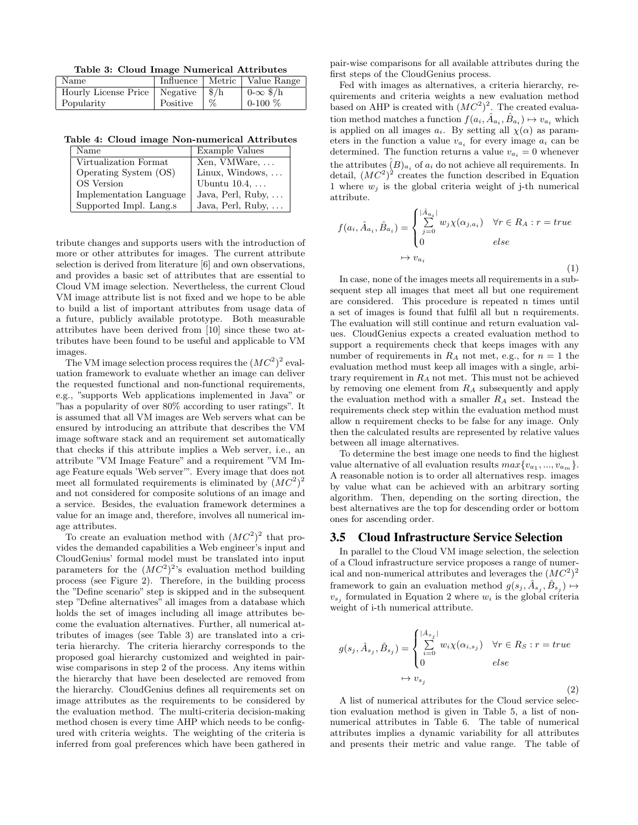Table 3: Cloud Image Numerical Attributes

| Name                                               |          |      | Influence   Metric   Value Range |
|----------------------------------------------------|----------|------|----------------------------------|
| Hourly License Price   Negative $\frac{1}{2}$ \hes |          |      | $0-\infty$ \$/h                  |
| Popularity                                         | Positive | $\%$ | $0-100\%$                        |

Table 4: Cloud image Non-numerical Attributes

| Name                           | Example Values            |
|--------------------------------|---------------------------|
| Virtualization Format          | $Xen, VMWare, \ldots$     |
| Operating System (OS)          | Linux, Windows, $\dots$   |
| OS Version                     | Ubuntu $10.4, \ldots$     |
| <b>Implementation Language</b> | Java, Perl, Ruby, $\dots$ |
| Supported Impl. Lang.s         | Java, Perl, Ruby, $\dots$ |

tribute changes and supports users with the introduction of more or other attributes for images. The current attribute selection is derived from literature [6] and own observations, and provides a basic set of attributes that are essential to Cloud VM image selection. Nevertheless, the current Cloud VM image attribute list is not fixed and we hope to be able to build a list of important attributes from usage data of a future, publicly available prototype. Both measurable attributes have been derived from [10] since these two attributes have been found to be useful and applicable to VM images.

The VM image selection process requires the  $(MC^2)^2$  evaluation framework to evaluate whether an image can deliver the requested functional and non-functional requirements, e.g., "supports Web applications implemented in Java" or "has a popularity of over 80% according to user ratings". It is assumed that all VM images are Web servers what can be ensured by introducing an attribute that describes the VM image software stack and an requirement set automatically that checks if this attribute implies a Web server, i.e., an attribute "VM Image Feature" and a requirement "VM Image Feature equals 'Web server'". Every image that does not meet all formulated requirements is eliminated by  $(MC^2)^2$ and not considered for composite solutions of an image and a service. Besides, the evaluation framework determines a value for an image and, therefore, involves all numerical image attributes.

To create an evaluation method with  $(MC^2)^2$  that provides the demanded capabilities a Web engineer's input and CloudGenius' formal model must be translated into input parameters for the  $(MC^2)^2$ 's evaluation method building process (see Figure 2). Therefore, in the building process the "Define scenario" step is skipped and in the subsequent step "Define alternatives" all images from a database which holds the set of images including all image attributes become the evaluation alternatives. Further, all numerical attributes of images (see Table 3) are translated into a criteria hierarchy. The criteria hierarchy corresponds to the proposed goal hierarchy customized and weighted in pairwise comparisons in step 2 of the process. Any items within the hierarchy that have been deselected are removed from the hierarchy. CloudGenius defines all requirements set on image attributes as the requirements to be considered by the evaluation method. The multi-criteria decision-making method chosen is every time AHP which needs to be configured with criteria weights. The weighting of the criteria is inferred from goal preferences which have been gathered in

pair-wise comparisons for all available attributes during the first steps of the CloudGenius process.

Fed with images as alternatives, a criteria hierarchy, requirements and criteria weights a new evaluation method based on AHP is created with  $(MC^2)^2$ . The created evaluation method matches a function  $f(a_i, \hat{A}_{a_i}, \hat{B}_{a_i}) \mapsto v_{a_i}$  which is applied on all images  $a_i$ . By setting all  $\chi(\alpha)$  as parameters in the function a value  $v_{a_i}$  for every image  $a_i$  can be determined. The function returns a value  $v_{a_i} = 0$  whenever the attributes  $(B)_{a_i}$  of  $a_i$  do not achieve all requirements. In detail,  $(MC^2)^2$  creates the function described in Equation 1 where  $w_i$  is the global criteria weight of j-th numerical attribute.

$$
f(a_i, \hat{A}_{a_i}, \hat{B}_{a_i}) = \begin{cases} |\hat{A}_{a_i}| \\ \sum_{j=0}^{n} w_j \chi(\alpha_{j, a_i}) & \forall r \in R_A : r = true \\ 0 & else \end{cases}
$$
  

$$
\mapsto v_{a_i}
$$
 (1)

In case, none of the images meets all requirements in a subsequent step all images that meet all but one requirement are considered. This procedure is repeated n times until a set of images is found that fulfil all but n requirements. The evaluation will still continue and return evaluation values. CloudGenius expects a created evaluation method to support a requirements check that keeps images with any number of requirements in  $R_A$  not met, e.g., for  $n = 1$  the evaluation method must keep all images with a single, arbitrary requirement in  $R_A$  not met. This must not be achieved by removing one element from  $R_A$  subsequently and apply the evaluation method with a smaller  $R_A$  set. Instead the requirements check step within the evaluation method must allow n requirement checks to be false for any image. Only then the calculated results are represented by relative values between all image alternatives.

To determine the best image one needs to find the highest value alternative of all evaluation results  $max{v_{a_1},...,v_{a_m}}$ . A reasonable notion is to order all alternatives resp. images by value what can be achieved with an arbitrary sorting algorithm. Then, depending on the sorting direction, the best alternatives are the top for descending order or bottom ones for ascending order.

#### 3.5 Cloud Infrastructure Service Selection

In parallel to the Cloud VM image selection, the selection of a Cloud infrastructure service proposes a range of numerical and non-numerical attributes and leverages the  $(MC^2)^2$ framework to gain an evaluation method  $g(s_j, \hat{A}_{s_j}, \hat{B}_{s_j}) \mapsto$  $v_{s_j}$  formulated in Equation 2 where  $w_i$  is the global criteria weight of i-th numerical attribute.

$$
g(s_j, \hat{A}_{s_j}, \hat{B}_{s_j}) = \begin{cases} |\frac{\hat{A}_{s_j}|}{\sum_{i=0}^{\infty}} w_i \chi(\alpha_{i, s_j}) & \forall r \in R_S : r = true \\ 0 & else \end{cases}
$$
  

$$
\mapsto v_{s_j}
$$
 (2)

A list of numerical attributes for the Cloud service selection evaluation method is given in Table 5, a list of nonnumerical attributes in Table 6. The table of numerical attributes implies a dynamic variability for all attributes and presents their metric and value range. The table of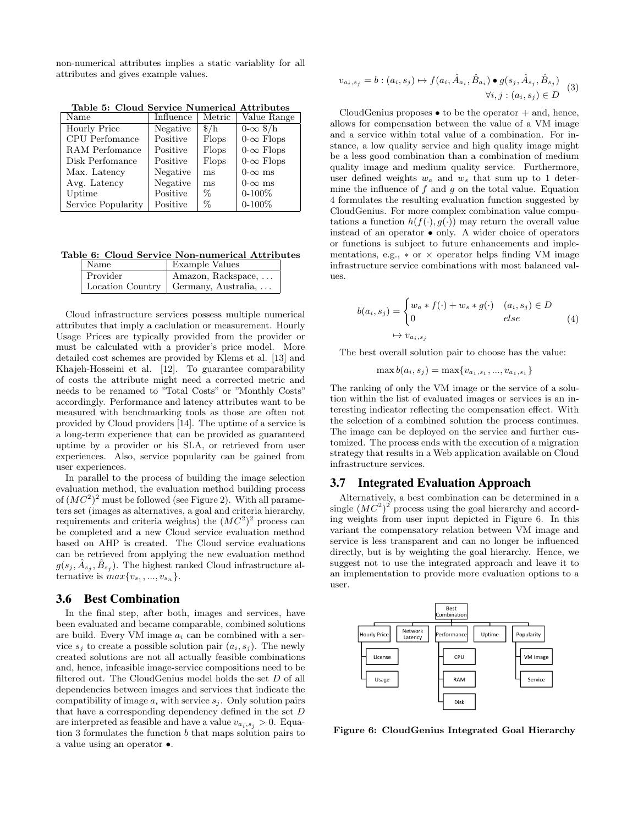non-numerical attributes implies a static variablity for all attributes and gives example values.

| Name                | Influence | Metric                     | Value Range      |
|---------------------|-----------|----------------------------|------------------|
| <b>Hourly Price</b> | Negative  | $\frac{\text{}}{\text{h}}$ | $0-\infty$ \$/h  |
| CPU Perfomance      | Positive  | Flops                      | $0-\infty$ Flops |
| RAM Perfomance      | Positive  | Flops                      | $0-\infty$ Flops |
| Disk Perfomance     | Positive  | Flops                      | $0-\infty$ Flops |
| Max. Latency        | Negative  | $\rm ms$                   | $0-\infty$ ms    |
| Avg. Latency        | Negative  | ms                         | $0-\infty$ ms    |
| Uptime              | Positive  | $\%$                       | $0 - 100\%$      |
| Service Popularity  | Positive  | $\%$                       | $0 - 100\%$      |

Table 5: Cloud Service Numerical Attributes

| Table 6: Cloud Service Non-numerical Attributes |  |  |  |
|-------------------------------------------------|--|--|--|
|                                                 |  |  |  |

| Name     | Example Values                         |
|----------|----------------------------------------|
| Provider | Amazon, Rackspace,                     |
|          | Location Country   Germany, Australia, |

Cloud infrastructure services possess multiple numerical attributes that imply a caclulation or measurement. Hourly Usage Prices are typically provided from the provider or must be calculated with a provider's price model. More detailed cost schemes are provided by Klems et al. [13] and Khajeh-Hosseini et al. [12]. To guarantee comparability of costs the attribute might need a corrected metric and needs to be renamed to "Total Costs" or "Monthly Costs" accordingly. Performance and latency attributes want to be measured with benchmarking tools as those are often not provided by Cloud providers [14]. The uptime of a service is a long-term experience that can be provided as guaranteed uptime by a provider or his SLA, or retrieved from user experiences. Also, service popularity can be gained from user experiences.

In parallel to the process of building the image selection evaluation method, the evaluation method building process of  $(MC^2)^2$  must be followed (see Figure 2). With all parameters set (images as alternatives, a goal and criteria hierarchy, requirements and criteria weights) the  $(MC^2)^2$  process can be completed and a new Cloud service evaluation method based on AHP is created. The Cloud service evaluations can be retrieved from applying the new evaluation method  $g(s_j, \hat{A}_{s_j}, \hat{B}_{s_j})$ . The highest ranked Cloud infrastructure alternative is  $max{v_{s_1},...,v_{s_n}}$ .

## 3.6 Best Combination

In the final step, after both, images and services, have been evaluated and became comparable, combined solutions are build. Every VM image  $a_i$  can be combined with a service  $s_i$  to create a possible solution pair  $(a_i, s_j)$ . The newly created solutions are not all actually feasible combinations and, hence, infeasible image-service compositions need to be filtered out. The CloudGenius model holds the set D of all dependencies between images and services that indicate the compatibility of image  $a_i$  with service  $s_i$ . Only solution pairs that have a corresponding dependency defined in the set D are interpreted as feasible and have a value  $v_{a_i,s_j} > 0$ . Equation 3 formulates the function b that maps solution pairs to a value using an operator •.

$$
v_{a_i, s_j} = b : (a_i, s_j) \mapsto f(a_i, \hat{A}_{a_i}, \hat{B}_{a_i}) \bullet g(s_j, \hat{A}_{s_j}, \hat{B}_{s_j})
$$
  

$$
\forall i, j : (a_i, s_j) \in D
$$
 (3)

CloudGenius proposes  $\bullet$  to be the operator  $+$  and, hence, allows for compensation between the value of a VM image and a service within total value of a combination. For instance, a low quality service and high quality image might be a less good combination than a combination of medium quality image and medium quality service. Furthermore, user defined weights  $w_a$  and  $w_s$  that sum up to 1 determine the influence of  $f$  and  $g$  on the total value. Equation 4 formulates the resulting evaluation function suggested by CloudGenius. For more complex combination value computations a function  $h(f(\cdot), g(\cdot))$  may return the overall value instead of an operator • only. A wider choice of operators or functions is subject to future enhancements and implementations, e.g.,  $*$  or  $\times$  operator helps finding VM image infrastructure service combinations with most balanced values.

$$
b(a_i, s_j) = \begin{cases} w_a * f(\cdot) + w_s * g(\cdot) & (a_i, s_j) \in D \\ 0 & else \end{cases}
$$
(4)

The best overall solution pair to choose has the value:

 $\max b(a_i, s_j) = \max\{v_{a_1, s_1}, ..., v_{a_1, s_1}\}\$ 

The ranking of only the VM image or the service of a solution within the list of evaluated images or services is an interesting indicator reflecting the compensation effect. With the selection of a combined solution the process continues. The image can be deployed on the service and further customized. The process ends with the execution of a migration strategy that results in a Web application available on Cloud infrastructure services.

#### 3.7 Integrated Evaluation Approach

Alternatively, a best combination can be determined in a single  $(MC^2)^2$  process using the goal hierarchy and according weights from user input depicted in Figure 6. In this variant the compensatory relation between VM image and service is less transparent and can no longer be influenced directly, but is by weighting the goal hierarchy. Hence, we suggest not to use the integrated approach and leave it to an implementation to provide more evaluation options to a user.



Figure 6: CloudGenius Integrated Goal Hierarchy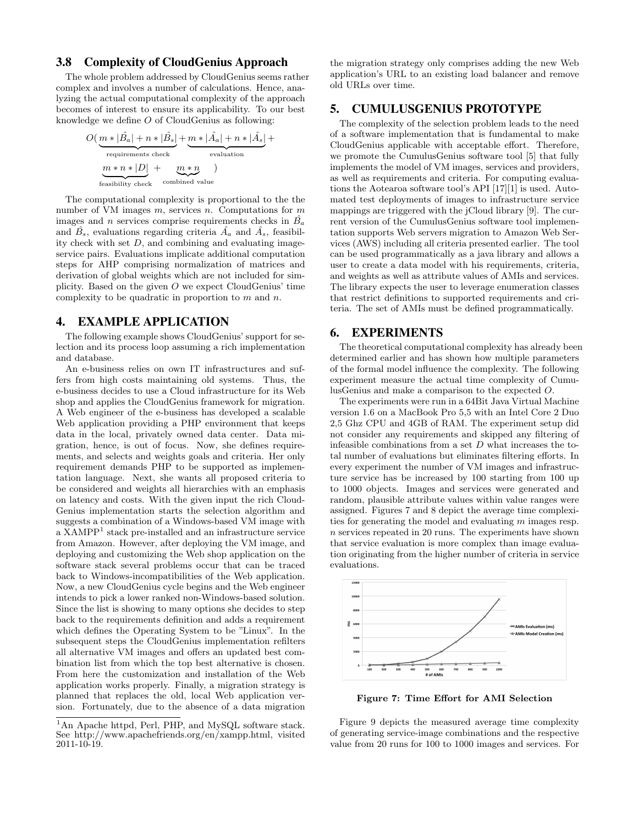## 3.8 Complexity of CloudGenius Approach

The whole problem addressed by CloudGenius seems rather complex and involves a number of calculations. Hence, analyzing the actual computational complexity of the approach becomes of interest to ensure its applicability. To our best knowledge we define O of CloudGenius as following:

$$
O\left(\underbrace{m*|\hat{B}_a|+n*|\hat{B}_s}_{\text{requirements check}}\right)+\underbrace{m*|\hat{A}_a|+n*|\hat{A}_s}_{\text{evaluation}}\right)+\underbrace{m*n*|D|}_{\text{feasibility check}}+
$$

The computational complexity is proportional to the the number of VM images  $m$ , services  $n$ . Computations for  $m$ images and n services comprise requirements checks in  $B_a$ and  $B_s$ , evaluations regarding criteria  $A_a$  and  $A_s$ , feasibility check with set  $D$ , and combining and evaluating imageservice pairs. Evaluations implicate additional computation steps for AHP comprising normalization of matrices and derivation of global weights which are not included for simplicity. Based on the given  $O$  we expect CloudGenius' time complexity to be quadratic in proportion to  $m$  and  $n$ .

### 4. EXAMPLE APPLICATION

The following example shows CloudGenius' support for selection and its process loop assuming a rich implementation and database.

An e-business relies on own IT infrastructures and suffers from high costs maintaining old systems. Thus, the e-business decides to use a Cloud infrastructure for its Web shop and applies the CloudGenius framework for migration. A Web engineer of the e-business has developed a scalable Web application providing a PHP environment that keeps data in the local, privately owned data center. Data migration, hence, is out of focus. Now, she defines requirements, and selects and weights goals and criteria. Her only requirement demands PHP to be supported as implementation language. Next, she wants all proposed criteria to be considered and weights all hierarchies with an emphasis on latency and costs. With the given input the rich Cloud-Genius implementation starts the selection algorithm and suggests a combination of a Windows-based VM image with a XAMPP<sup>1</sup> stack pre-installed and an infrastructure service from Amazon. However, after deploying the VM image, and deploying and customizing the Web shop application on the software stack several problems occur that can be traced back to Windows-incompatibilities of the Web application. Now, a new CloudGenius cycle begins and the Web engineer intends to pick a lower ranked non-Windows-based solution. Since the list is showing to many options she decides to step back to the requirements definition and adds a requirement which defines the Operating System to be "Linux". In the subsequent steps the CloudGenius implementation refilters all alternative VM images and offers an updated best combination list from which the top best alternative is chosen. From here the customization and installation of the Web application works properly. Finally, a migration strategy is planned that replaces the old, local Web application version. Fortunately, due to the absence of a data migration

the migration strategy only comprises adding the new Web application's URL to an existing load balancer and remove old URLs over time.

### 5. CUMULUSGENIUS PROTOTYPE

The complexity of the selection problem leads to the need of a software implementation that is fundamental to make CloudGenius applicable with acceptable effort. Therefore, we promote the CumulusGenius software tool [5] that fully implements the model of VM images, services and providers, as well as requirements and criteria. For computing evaluations the Aotearoa software tool's API [17][1] is used. Automated test deployments of images to infrastructure service mappings are triggered with the jCloud library [9]. The current version of the CumulusGenius software tool implementation supports Web servers migration to Amazon Web Services (AWS) including all criteria presented earlier. The tool can be used programmatically as a java library and allows a user to create a data model with his requirements, criteria, and weights as well as attribute values of AMIs and services. The library expects the user to leverage enumeration classes that restrict definitions to supported requirements and criteria. The set of AMIs must be defined programmatically.

## 6. EXPERIMENTS

The theoretical computational complexity has already been determined earlier and has shown how multiple parameters of the formal model influence the complexity. The following experiment measure the actual time complexity of CumulusGenius and make a comparison to the expected O.

The experiments were run in a 64Bit Java Virtual Machine version 1.6 on a MacBook Pro 5,5 with an Intel Core 2 Duo 2,5 Ghz CPU and 4GB of RAM. The experiment setup did not consider any requirements and skipped any filtering of infeasible combinations from a set  $D$  what increases the total number of evaluations but eliminates filtering efforts. In every experiment the number of VM images and infrastructure service has be increased by 100 starting from 100 up to 1000 objects. Images and services were generated and random, plausible attribute values within value ranges were assigned. Figures 7 and 8 depict the average time complexities for generating the model and evaluating m images resp. n services repeated in 20 runs. The experiments have shown that service evaluation is more complex than image evaluation originating from the higher number of criteria in service evaluations.



Figure 7: Time Effort for AMI Selection

Figure 9 depicts the measured average time complexity of generating service-image combinations and the respective value from 20 runs for 100 to 1000 images and services. For

<sup>&</sup>lt;sup>1</sup>An Apache httpd, Perl, PHP, and MySQL software stack. See http://www.apachefriends.org/en/xampp.html, visited 2011-10-19.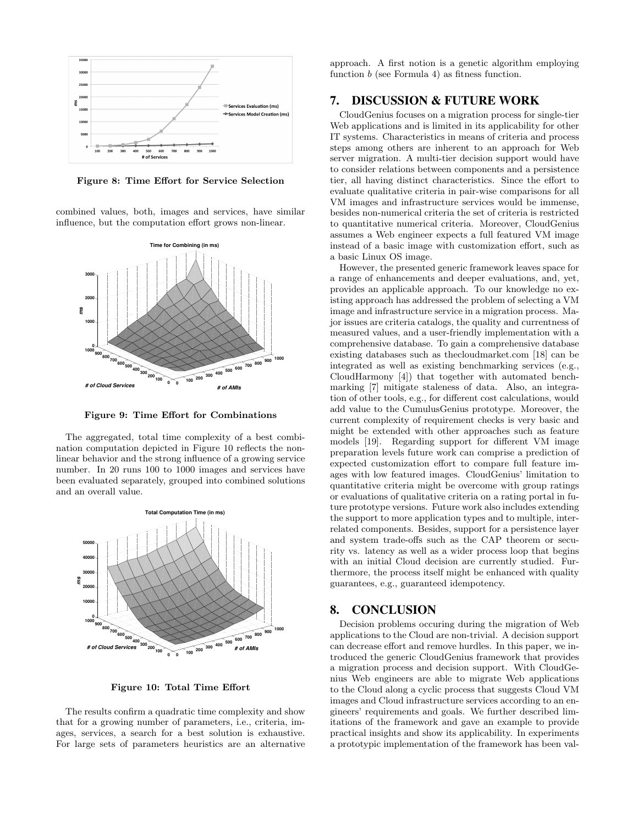

Figure 8: Time Effort for Service Selection

combined values, both, images and services, have similar influence, but the computation effort grows non-linear.



Figure 9: Time Effort for Combinations

The aggregated, total time complexity of a best combination computation depicted in Figure 10 reflects the nonlinear behavior and the strong influence of a growing service number. In 20 runs 100 to 1000 images and services have been evaluated separately, grouped into combined solutions and an overall value.



Figure 10: Total Time Effort

The results confirm a quadratic time complexity and show that for a growing number of parameters, i.e., criteria, images, services, a search for a best solution is exhaustive. For large sets of parameters heuristics are an alternative approach. A first notion is a genetic algorithm employing function b (see Formula 4) as fitness function.

## 7. DISCUSSION & FUTURE WORK

CloudGenius focuses on a migration process for single-tier Web applications and is limited in its applicability for other IT systems. Characteristics in means of criteria and process steps among others are inherent to an approach for Web server migration. A multi-tier decision support would have to consider relations between components and a persistence tier, all having distinct characteristics. Since the effort to evaluate qualitative criteria in pair-wise comparisons for all VM images and infrastructure services would be immense, besides non-numerical criteria the set of criteria is restricted to quantitative numerical criteria. Moreover, CloudGenius assumes a Web engineer expects a full featured VM image instead of a basic image with customization effort, such as a basic Linux OS image.

However, the presented generic framework leaves space for a range of enhancements and deeper evaluations, and, yet, provides an applicable approach. To our knowledge no existing approach has addressed the problem of selecting a VM image and infrastructure service in a migration process. Major issues are criteria catalogs, the quality and currentness of measured values, and a user-friendly implementation with a comprehensive database. To gain a comprehensive database existing databases such as thecloudmarket.com [18] can be integrated as well as existing benchmarking services (e.g., CloudHarmony [4]) that together with automated benchmarking [7] mitigate staleness of data. Also, an integration of other tools, e.g., for different cost calculations, would add value to the CumulusGenius prototype. Moreover, the current complexity of requirement checks is very basic and might be extended with other approaches such as feature models [19]. Regarding support for different VM image preparation levels future work can comprise a prediction of expected customization effort to compare full feature images with low featured images. CloudGenius' limitation to quantitative criteria might be overcome with group ratings or evaluations of qualitative criteria on a rating portal in future prototype versions. Future work also includes extending the support to more application types and to multiple, interrelated components. Besides, support for a persistence layer and system trade-offs such as the CAP theorem or security vs. latency as well as a wider process loop that begins with an initial Cloud decision are currently studied. Furthermore, the process itself might be enhanced with quality guarantees, e.g., guaranteed idempotency.

#### 8. CONCLUSION

Decision problems occuring during the migration of Web applications to the Cloud are non-trivial. A decision support can decrease effort and remove hurdles. In this paper, we introduced the generic CloudGenius framework that provides a migration process and decision support. With CloudGenius Web engineers are able to migrate Web applications to the Cloud along a cyclic process that suggests Cloud VM images and Cloud infrastructure services according to an engineers' requirements and goals. We further described limitations of the framework and gave an example to provide practical insights and show its applicability. In experiments a prototypic implementation of the framework has been val